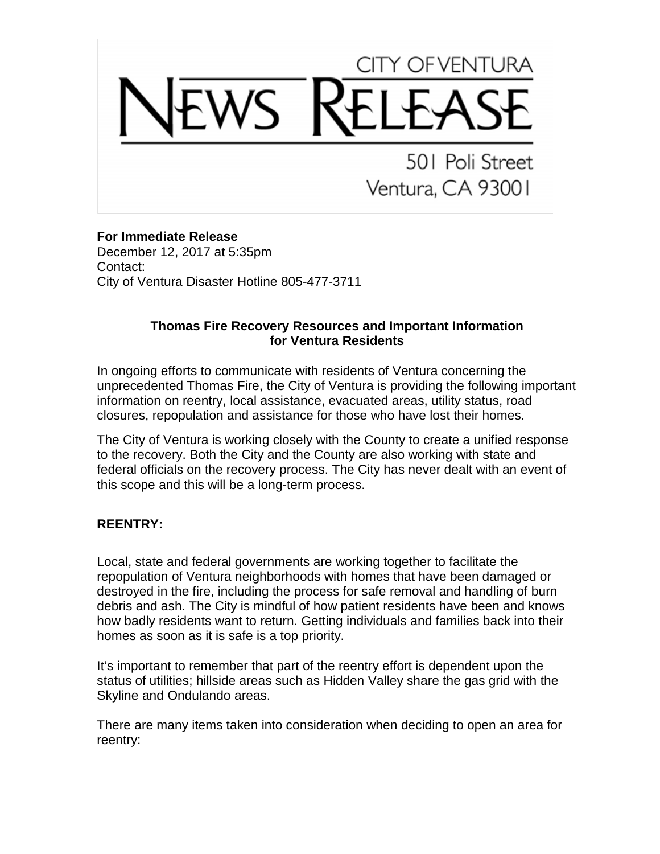# CITY OF VENTURA

501 Poli Street Ventura, CA 93001

## **For Immediate Release**

December 12, 2017 at 5:35pm Contact: City of Ventura Disaster Hotline 805-477-3711

#### **Thomas Fire Recovery Resources and Important Information for Ventura Residents**

In ongoing efforts to communicate with residents of Ventura concerning the unprecedented Thomas Fire, the City of Ventura is providing the following important information on reentry, local assistance, evacuated areas, utility status, road closures, repopulation and assistance for those who have lost their homes.

The City of Ventura is working closely with the County to create a unified response to the recovery. Both the City and the County are also working with state and federal officials on the recovery process. The City has never dealt with an event of this scope and this will be a long-term process.

# **REENTRY:**

Local, state and federal governments are working together to facilitate the repopulation of Ventura neighborhoods with homes that have been damaged or destroyed in the fire, including the process for safe removal and handling of burn debris and ash. The City is mindful of how patient residents have been and knows how badly residents want to return. Getting individuals and families back into their homes as soon as it is safe is a top priority.

It's important to remember that part of the reentry effort is dependent upon the status of utilities; hillside areas such as Hidden Valley share the gas grid with the Skyline and Ondulando areas.

There are many items taken into consideration when deciding to open an area for reentry: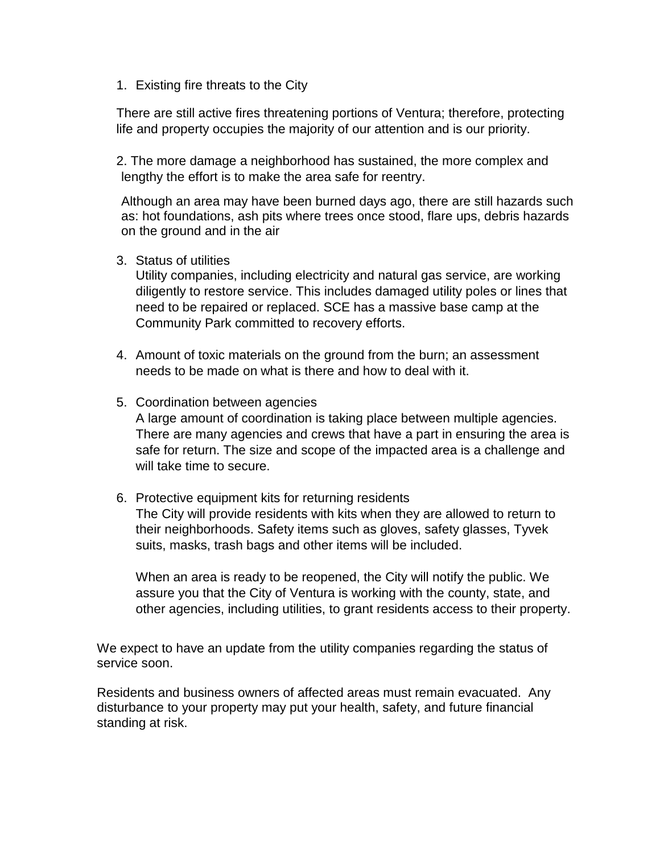1. Existing fire threats to the City

There are still active fires threatening portions of Ventura; therefore, protecting life and property occupies the majority of our attention and is our priority.

2. The more damage a neighborhood has sustained, the more complex and lengthy the effort is to make the area safe for reentry.

Although an area may have been burned days ago, there are still hazards such as: hot foundations, ash pits where trees once stood, flare ups, debris hazards on the ground and in the air

3. Status of utilities

Utility companies, including electricity and natural gas service, are working diligently to restore service. This includes damaged utility poles or lines that need to be repaired or replaced. SCE has a massive base camp at the Community Park committed to recovery efforts.

4. Amount of toxic materials on the ground from the burn; an assessment needs to be made on what is there and how to deal with it.

#### 5. Coordination between agencies

A large amount of coordination is taking place between multiple agencies. There are many agencies and crews that have a part in ensuring the area is safe for return. The size and scope of the impacted area is a challenge and will take time to secure.

6. Protective equipment kits for returning residents The City will provide residents with kits when they are allowed to return to their neighborhoods. Safety items such as gloves, safety glasses, Tyvek suits, masks, trash bags and other items will be included.

When an area is ready to be reopened, the City will notify the public. We assure you that the City of Ventura is working with the county, state, and other agencies, including utilities, to grant residents access to their property.

We expect to have an update from the utility companies regarding the status of service soon.

Residents and business owners of affected areas must remain evacuated. Any disturbance to your property may put your health, safety, and future financial standing at risk.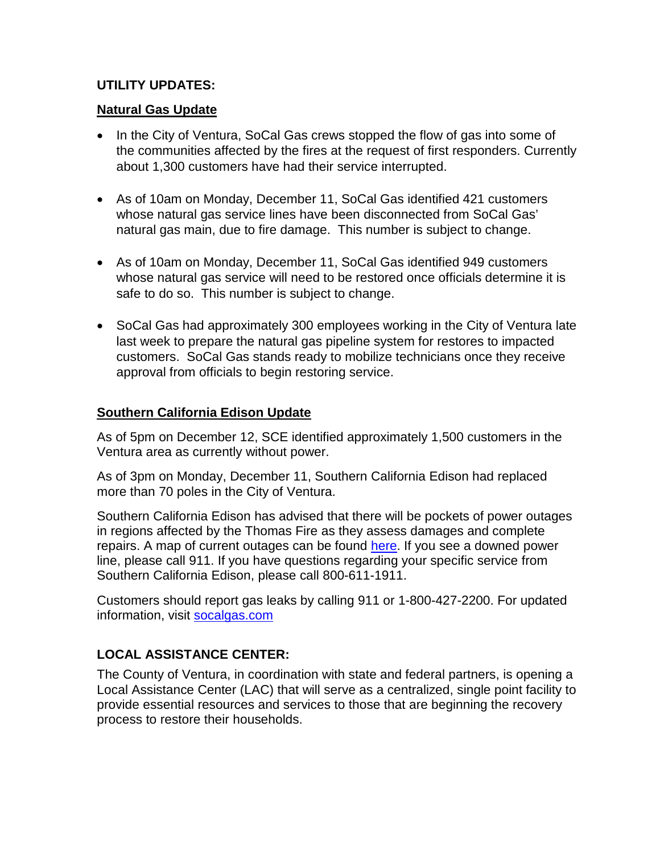# **UTILITY UPDATES:**

## **Natural Gas Update**

- In the City of Ventura, SoCal Gas crews stopped the flow of gas into some of the communities affected by the fires at the request of first responders. Currently about 1,300 customers have had their service interrupted.
- As of 10am on Monday, December 11, SoCal Gas identified 421 customers whose natural gas service lines have been disconnected from SoCal Gas' natural gas main, due to fire damage. This number is subject to change.
- As of 10am on Monday, December 11, SoCal Gas identified 949 customers whose natural gas service will need to be restored once officials determine it is safe to do so. This number is subject to change.
- SoCal Gas had approximately 300 employees working in the City of Ventura late last week to prepare the natural gas pipeline system for restores to impacted customers. SoCal Gas stands ready to mobilize technicians once they receive approval from officials to begin restoring service.

## **Southern California Edison Update**

As of 5pm on December 12, SCE identified approximately 1,500 customers in the Ventura area as currently without power.

As of 3pm on Monday, December 11, Southern California Edison had replaced more than 70 poles in the City of Ventura.

Southern California Edison has advised that there will be pockets of power outages in regions affected by the Thomas Fire as they assess damages and complete repairs. A map of current outages can be found [here.](https://www.sce.com/wps/portal/home/outage-center/check-outage-status/%21ut/p/b1/pVFNb4JAEP0r9MCR7NDFBY4b04C2kRC0yl7IuiyWpiyIq_349V3UpKfaGuc0LzPz5s0bxNAKMcUP9YbrulX8bcCMFEnsjuMgg0mUZhjowhvHIaEugGcactMAvwSF43wYwUM8Tcz8PMUwwSnMMkoxAEFLxBATSnf6BeU7IQvRKi2VLqSy4Zzb0O4130hLGCB7Gw61fLfEvu8Ntk613cDTibpE-drzsSh55QDw0PEAY2dNPOKE_j2phD8qIRiddV8Q9sfdR92XL8_NCv-HI8l8d-CYPT0_Ru6wIrtS8_Qfz6hft1tGjaWDdR8arW7ytGsWTYA_HfU1r5olvfsGTZWV9A%21%21/dl4/d5/L2dBISEvZ0FBIS9nQSEh/) If you see a downed power line, please call 911. If you have questions regarding your specific service from Southern California Edison, please call 800-611-1911.

Customers should report gas leaks by calling 911 or 1-800-427-2200. For updated information, visit [socalgas.com](https://www.socalgas.com/newsroom/fires)

# **LOCAL ASSISTANCE CENTER:**

The County of Ventura, in coordination with state and federal partners, is opening a Local Assistance Center (LAC) that will serve as a centralized, single point facility to provide essential resources and services to those that are beginning the recovery process to restore their households.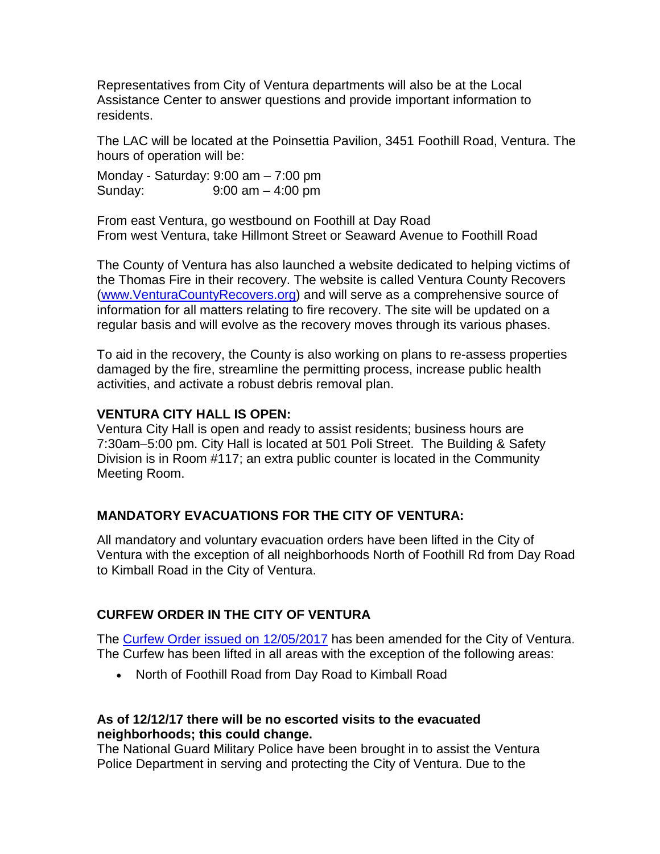Representatives from City of Ventura departments will also be at the Local Assistance Center to answer questions and provide important information to residents.

The LAC will be located at the Poinsettia Pavilion, 3451 Foothill Road, Ventura. The hours of operation will be:

Monday - Saturday: 9:00 am – 7:00 pm Sunday: 9:00 am – 4:00 pm

From east Ventura, go westbound on Foothill at Day Road From west Ventura, take Hillmont Street or Seaward Avenue to Foothill Road

The County of Ventura has also launched a website dedicated to helping victims of the Thomas Fire in their recovery. The website is called Ventura County Recovers [\(www.VenturaCountyRecovers.org\)](file://chfile/users/kflanders/Thomas%20Fire/www.VenturaCountyRecovers.org) and will serve as a comprehensive source of information for all matters relating to fire recovery. The site will be updated on a regular basis and will evolve as the recovery moves through its various phases.

To aid in the recovery, the County is also working on plans to re-assess properties damaged by the fire, streamline the permitting process, increase public health activities, and activate a robust debris removal plan.

#### **VENTURA CITY HALL IS OPEN:**

Ventura City Hall is open and ready to assist residents; business hours are 7:30am–5:00 pm. City Hall is located at 501 Poli Street. The Building & Safety Division is in Room #117; an extra public counter is located in the Community Meeting Room.

#### **MANDATORY EVACUATIONS FOR THE CITY OF VENTURA:**

All mandatory and voluntary evacuation orders have been lifted in the City of Ventura with the exception of all neighborhoods North of Foothill Rd from Day Road to Kimball Road in the City of Ventura.

#### **CURFEW ORDER IN THE CITY OF VENTURA**

The [Curfew Order issued on 12/05/2017](https://www.cityofventura.ca.gov/ArchiveCenter/ViewFile/Item/1781) has been amended for the City of Ventura. The Curfew has been lifted in all areas with the exception of the following areas:

• North of Foothill Road from Day Road to Kimball Road

#### **As of 12/12/17 there will be no escorted visits to the evacuated neighborhoods; this could change.**

The National Guard Military Police have been brought in to assist the Ventura Police Department in serving and protecting the City of Ventura. Due to the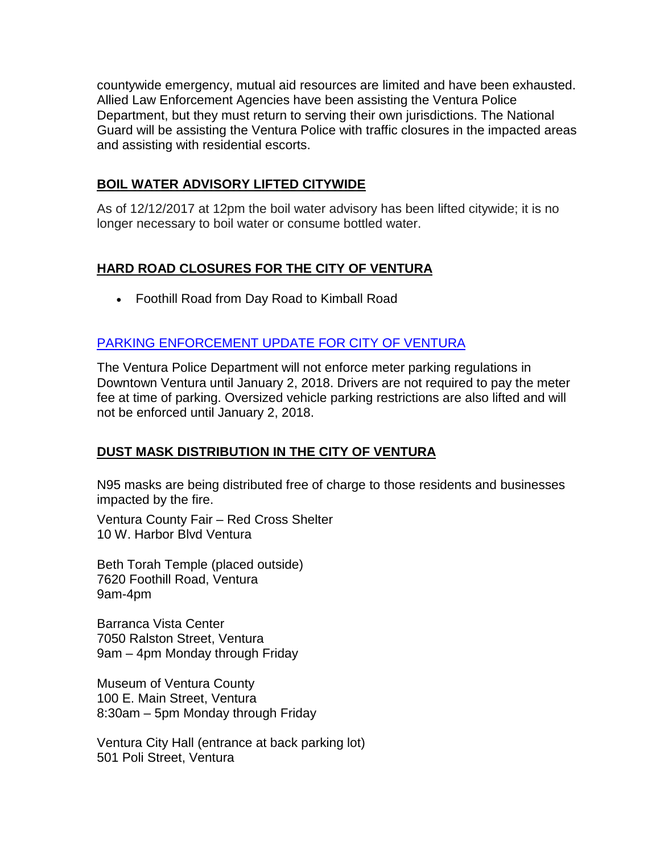countywide emergency, mutual aid resources are limited and have been exhausted. Allied Law Enforcement Agencies have been assisting the Ventura Police Department, but they must return to serving their own jurisdictions. The National Guard will be assisting the Ventura Police with traffic closures in the impacted areas and assisting with residential escorts.

## **BOIL WATER ADVISORY LIFTED CITYWIDE**

As of 12/12/2017 at 12pm the boil water advisory has been lifted citywide; it is no longer necessary to boil water or consume bottled water.

# **HARD ROAD CLOSURES FOR THE CITY OF VENTURA**

• Foothill Road from Day Road to Kimball Road

## [PARKING ENFORCEMENT UPDATE FOR CITY OF VENTURA](https://www.cityofventura.ca.gov/ArchiveCenter/ViewFile/Item/1790)

The Ventura Police Department will not enforce meter parking regulations in Downtown Ventura until January 2, 2018. Drivers are not required to pay the meter fee at time of parking. Oversized vehicle parking restrictions are also lifted and will not be enforced until January 2, 2018.

# **DUST MASK DISTRIBUTION IN THE CITY OF VENTURA**

N95 masks are being distributed free of charge to those residents and businesses impacted by the fire.

Ventura County Fair – Red Cross Shelter 10 W. Harbor Blvd Ventura

Beth Torah Temple (placed outside) 7620 Foothill Road, Ventura 9am-4pm

Barranca Vista Center 7050 Ralston Street, Ventura 9am – 4pm Monday through Friday

Museum of Ventura County 100 E. Main Street, Ventura 8:30am – 5pm Monday through Friday

Ventura City Hall (entrance at back parking lot) 501 Poli Street, Ventura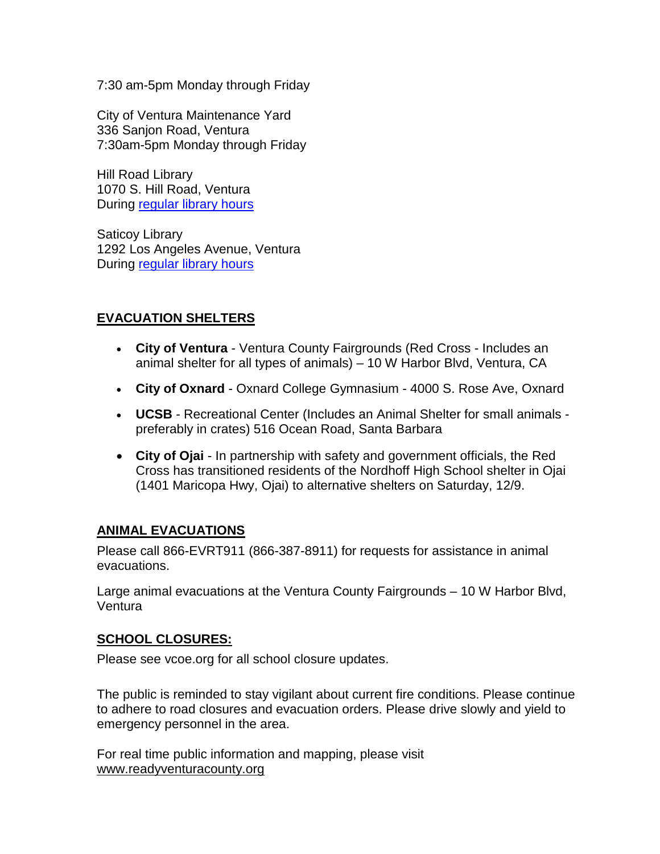7:30 am-5pm Monday through Friday

City of Ventura Maintenance Yard 336 Sanjon Road, Ventura 7:30am-5pm Monday through Friday

Hill Road Library 1070 S. Hill Road, Ventura During [regular library hours](https://www.vencolibrary.org/)

Saticoy Library 1292 Los Angeles Avenue, Ventura During [regular library hours](https://www.vencolibrary.org/)

## **EVACUATION SHELTERS**

- **City of Ventura** Ventura County Fairgrounds (Red Cross Includes an animal shelter for all types of animals) – 10 W Harbor Blvd, Ventura, CA
- **City of Oxnard** Oxnard College Gymnasium 4000 S. Rose Ave, Oxnard
- **UCSB** Recreational Center (Includes an Animal Shelter for small animals preferably in crates) 516 Ocean Road, Santa Barbara
- **City of Ojai** In partnership with safety and government officials, the Red Cross has transitioned residents of the Nordhoff High School shelter in Ojai (1401 Maricopa Hwy, Ojai) to alternative shelters on Saturday, 12/9.

#### **ANIMAL EVACUATIONS**

Please call 866-EVRT911 (866-387-8911) for requests for assistance in animal evacuations.

Large animal evacuations at the Ventura County Fairgrounds – 10 W Harbor Blvd, Ventura

#### **SCHOOL CLOSURES:**

[Please see vcoe.org for all school closure updates.](http://www.vcoe.org/)

The public is reminded to stay vigilant about current fire conditions. Please continue to adhere to road closures and evacuation orders. Please drive slowly and yield to emergency personnel in the area.

For real time public information and mapping, please visit [www.readyventuracounty.org](https://linkprotect.cudasvc.com/url?a=http://www.readyventuracounty.org&c=E,1,PI9bPY5Iihe--AQ66OJ6peANKMCP8k8-zbUfWFxNyoOBamvf07qAziviHvmhn8pMoEEXCH1D7Mbv_bFWGseG0-sbjF3jMxLR8j3cs6F5&typo=1)